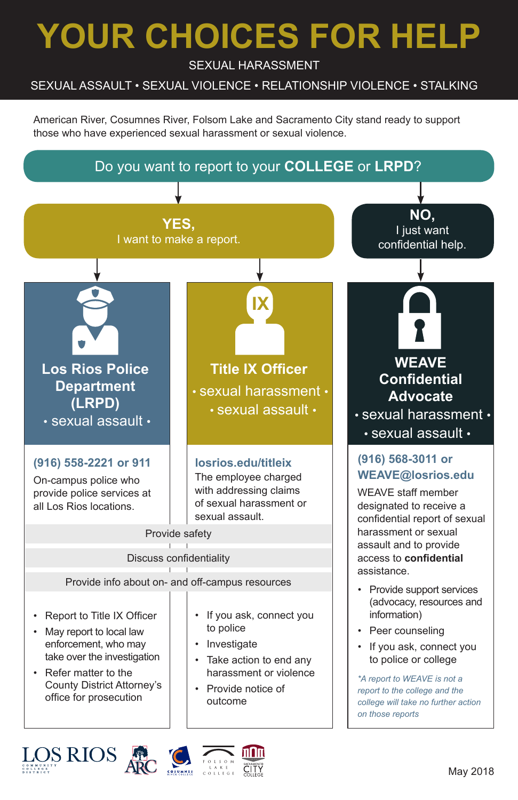# **YOUR CHOICES FOR HELP**

SEXUAL HARASSMENT

#### SEXUAL ASSAULT • SEXUAL VIOLENCE • RELATIONSHIP VIOLENCE • STALKING

American River, Cosumnes River, Folsom Lake and Sacramento City stand ready to support those who have experienced sexual harassment or sexual violence.